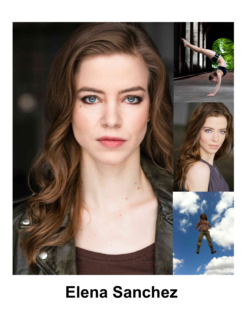

# **Elena Sanchez**